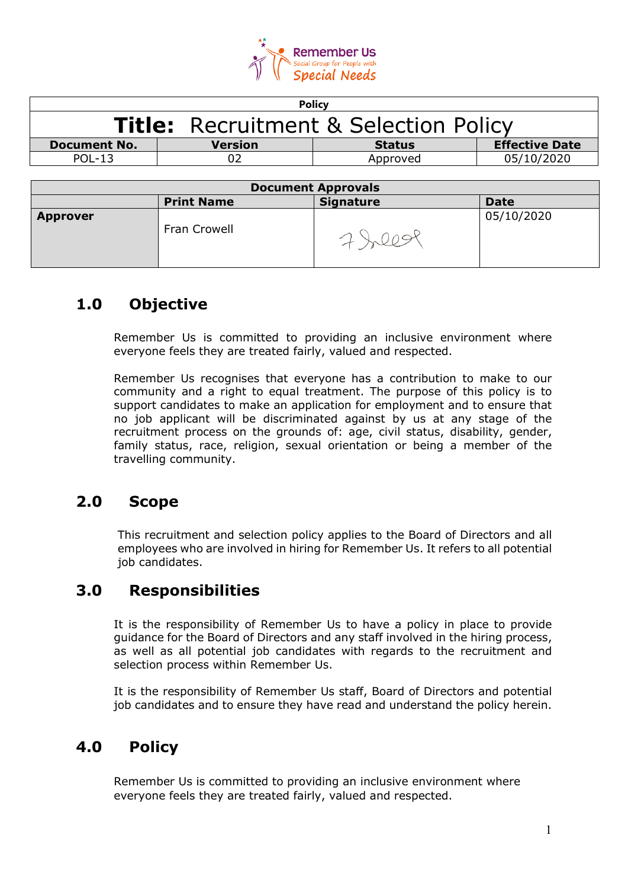

| <b>Policy</b>                                    |                   |                  |                       |  |  |
|--------------------------------------------------|-------------------|------------------|-----------------------|--|--|
| <b>Title: Recruitment &amp; Selection Policy</b> |                   |                  |                       |  |  |
| <b>Document No.</b>                              | <b>Version</b>    | <b>Status</b>    | <b>Effective Date</b> |  |  |
| <b>POL-13</b>                                    | 02                | Approved         | 05/10/2020            |  |  |
|                                                  |                   |                  |                       |  |  |
| <b>Document Approvals</b>                        |                   |                  |                       |  |  |
|                                                  | <b>Print Name</b> | <b>Signature</b> | <b>Date</b>           |  |  |
|                                                  |                   |                  | $-11 - 12 - 12 - 22$  |  |  |

|                 | <b>Print Name</b> | <b>Signature</b> | <b>Date</b> |
|-----------------|-------------------|------------------|-------------|
| <b>Approver</b> | Fran Crowell      |                  | 05/10/2020  |

### **1.0 Objective**

Remember Us is committed to providing an inclusive environment where everyone feels they are treated fairly, valued and respected.

Remember Us recognises that everyone has a contribution to make to our community and a right to equal treatment. The purpose of this policy is to support candidates to make an application for employment and to ensure that no job applicant will be discriminated against by us at any stage of the recruitment process on the grounds of: age, civil status, disability, gender, family status, race, religion, sexual orientation or being a member of the travelling community.

### **2.0 Scope**

This recruitment and selection policy applies to the Board of Directors and all employees who are involved in hiring for Remember Us. It refers to all potential job candidates.

#### **3.0 Responsibilities**

It is the responsibility of Remember Us to have a policy in place to provide guidance for the Board of Directors and any staff involved in the hiring process, as well as all potential job candidates with regards to the recruitment and selection process within Remember Us.

It is the responsibility of Remember Us staff, Board of Directors and potential job candidates and to ensure they have read and understand the policy herein.

#### **4.0 Policy**

Remember Us is committed to providing an inclusive environment where everyone feels they are treated fairly, valued and respected.